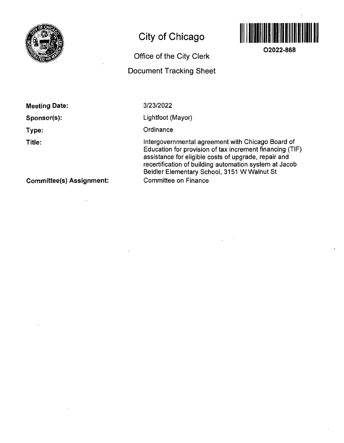

# **City of Chicago**

## **Office of the City Clerk Document Tracking Sheet**



**02022-868** 

**Meeting Date:** 

**Sponsor(s):** 

**Type:** 

**Title:** 

3/23/2022

Lightfoot (Mayor)

**Ordinance** 

Intergovernmental agreemenf wifh Chicago Board of Education for provision of tax increment financing (TIF) assistance for eligible costs of upgrade, repair and recertification of building automation system af Jacob Beidler Elementary School, 3151 W Walnut St Committee on Finance

**Committee(s) Assignment:**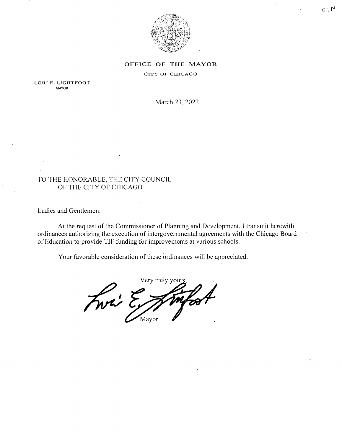

## OFFICE OF THE MAYOR

### CITY OF CHICAGO

LORI E. LIGHTFOOT MAYOR

March 23, 2022

## FO FHE HONORABLE, THE CITY COUNCIL OF THE CITY OF CHICAGO

Ladies and Gentlemen:

At the request of the Commissioner of Planning and Development, I transmit herewith ordinances authorizing the execution of intergovernmental agreements with the Chicago Board of Education to provide TIF funding for improvements al various schools.

Your favorable consideration of these ordinances will be appreciated.

Very truly you Front E Mayor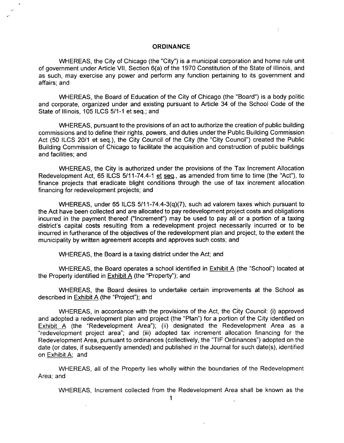#### **ORDINANCE**

 $\zeta$ 

WHEREAS, the City of Chicago (the "City") is a municipal corporation and home rule unit of government under Article VII, Section 6(a) of the 1970 Constitution of the State of Illinois, and as such, may exercise any power and perform any function pertaining to its government and affairs; and

WHEREAS, the Board of Education of the City of Chicago (the "Board") is a body politic and corporate, organized under and existing pursuant to Article 34 of the School Code of the State of Illinois, 105 ILCS 5/1-1 et seq,; and

WHEREAS, pursuant to the provisions of an act to authorize the creation of public building commissions and to define their rights, powers, and duties underthe Public Building Commission Act (50 ILCS 20/1 et seq.), the City Council of the City (the "City Council") created the Public Building Commission of Chicago to facilitate the acquisition and construction of public buildings and facilities; and

WHEREAS, the City is authorized under the provisions of the Tax Increment Allocation Redevelopment Act, 65 ILCS 5/11-74.4-1 et seq., as amended from time to time (the "Act"), to finance projects that eradicate blight conditions through the use of tax increment allocation financing for redevelopment projects; and

WHEREAS, under 65 ILCS 5/11-74.4-3(q)(7), such ad valorem taxes which pursuant to the Act have been collected and are allocated to pay redevelopment project costs and obligations incurred in the payment thereof ("Increment") may be used to pay all or a portion of a taxing district's capital costs resulting from a redevelopment project necessarily incurred or to be incurred in furtherance of the objectives of the redevelopment plan and project, to the extent the municipality by written agreement accepts and approves such costs; and

WHEREAS, the Board is a taxing district under the Act; and

WHEREAS, the Board operates a school identified in Exhibit A (the "School") located at the Property identified in Exhibit A (the "Property"); and

WHEREAS, the Board desires to undertake certain improvements at the School as described in Exhibit A (the "Project"); and

WHEREAS, in accordance with the provisions of the Act, the City Council: (i) approved and adopted a redevelopment plan and project (the "Plan") for a portion of the City identified on Exhibit A (the "Redevelopment Area"); (ii) designated the Redevelopment Area as a "redevelopment project area"; and (iii) adopted tax increment allocation financing for the Redevelopment Area, pursuant to ordinances (collectively, the "TIF Ordinances") adopted on the date (or dates, if subsequently amended) and published in the Journal for such date(s), identified on Exhibit A; and

WHEREAS, all of the Property lies wholly within the boundaries of the Redevelopment Area; and

WHEREAS, Increment collected from the Redevelopment Area shall be known as the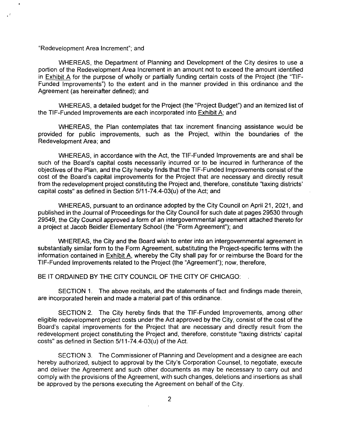#### "Redevelopment Area Increment"; and

WHEREAS, the Department of Planning and Development of the City desires to use a portion of the Redevelopment Area Increment in an amount not to exceed the amount identified in Exhibit A for the purpose of wholly or partially funding certain costs of the Project (the "TIF-Funded Improvements") to the extent and in the manner provided in this ordinance and the Agreement (as hereinafter defined); and

WHEREAS, a detailed budget for the Project (the "Project Budget") and an itemized list of the TIF-Funded Improvements are each incorporated into Exhibit A: and

WHEREAS, the Plan contemplates that tax increment financing assistance would be provided for public improvements, such as fhe Project, within the boundaries of the Redevelopment Area; and

WHEREAS, in accordance with the Act, the TIF-Funded Improvements are and shall be such of the Board's capital costs necessarily incurred or to be incurred in furtherance of the objectives of the Plan, and the City hereby finds that the TIF-Funded Improvements consist of the cost of the Board's capital improvements for the Project that are necessary and directly result from the redevelopment project constituting the Project and, therefore, constitute "taxing districts' capital costs" as defined in Section  $5/11-74.4-03(u)$  of the Act; and

WHEREAS, pursuant to an ordinance adopted by the City Council on April 21, 2021, and published in the Journal of Proceedings for the City Council for such date at pages 29530 through 29549, the City Council approved a form of an intergovernmental agreement attached thereto for a project at Jacob Beidler Elementary School (the "Form Agreement"); and

WHEREAS, the City and the Board wish to enter into an intergovernmental agreement in substantially similar form to the Form Agreement, substituting the Project-specific terms with the information contained in Exhibit A. whereby the City shall pay for or reimburse the Board for the TIF-Funded Improvements related to the Project (the "Agreement"); now, therefore,

### BE IT ORDAINED BY THE CITY COUNCIL OF THE CITY OF CHICAGO:

SECTION 1. The above recitals, and the statements of fact and findings made therein, are incorporated herein and made a material part of this ordinance.

SECTION 2. The City hereby finds that the TIF-Funded Improvements, among other eligible redevelopment project costs under the Act approved by the City, consist of the cost of the Board's capital improvements for the Project that are necessary and directly result from the redevelopment project constituting the Project and, therefore, constitute "taxing districts' capital costs" as defined in Section 5/11-74,4-03(u) of the Act.

SECTION 3. The Commissioner of Planning and Development and a designee are each hereby authorized, subject to approval by the City's Corporation Counsel, to negotiate, execute and deliver the Agreement and such other documents as may be necessary to carry out and comply with the provisions ofthe Agreement, with such changes, deletions and insertions as shall be approved by the persons executing the Agreement on behalf of the City,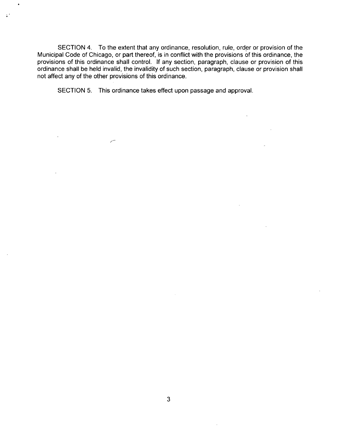SECTION 4, To the extent that any ordinance, resolution, rule, order or provision of the Municipal Code of Chicago, or part thereof, is in conflict with the provisions of this ordinance, the provisions of this ordinance shall control. If any section, paragraph, clause or provision of this ordinance shall be held invalid, the invalidity of such section, paragraph, clause or provision shall not affect any of the other provisions of this ordinance.

SECTION 5. This ordinance takes effect upon passage and approval.